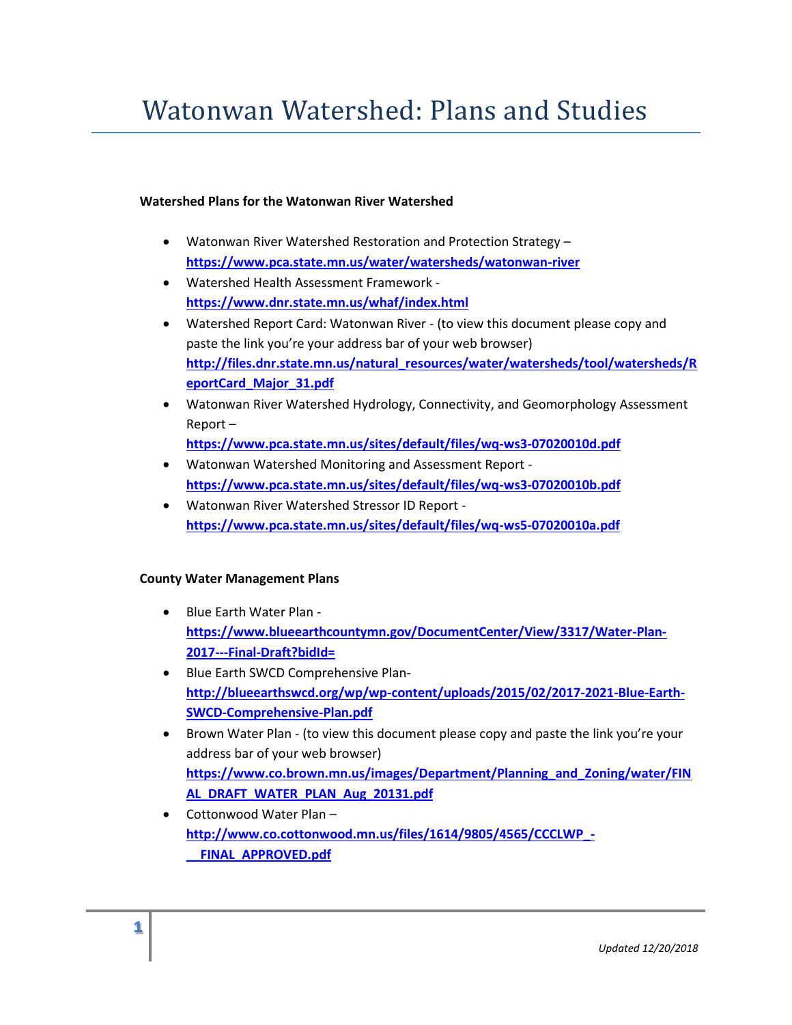# Watonwan Watershed: Plans and Studies

#### **Watershed Plans for the Watonwan River Watershed**

- Watonwan River Watershed Restoration and Protection Strategy **<https://www.pca.state.mn.us/water/watersheds/watonwan-river>**
- Watershed Health Assessment Framework **<https://www.dnr.state.mn.us/whaf/index.html>**
- Watershed Report Card: Watonwan River (to view this document please copy and paste the link you're your address bar of your web browser) **[http://files.dnr.state.mn.us/natural\\_resources/water/watersheds/tool/watersheds/R](http://files.dnr.state.mn.us/natural_resources/water/watersheds/tool/watersheds/ReportCard_Major_31.pdf) [eportCard\\_Major\\_31.pdf](http://files.dnr.state.mn.us/natural_resources/water/watersheds/tool/watersheds/ReportCard_Major_31.pdf)**
- Watonwan River Watershed Hydrology, Connectivity, and Geomorphology Assessment Report –
	- **<https://www.pca.state.mn.us/sites/default/files/wq-ws3-07020010d.pdf>**
- Watonwan Watershed Monitoring and Assessment Report **<https://www.pca.state.mn.us/sites/default/files/wq-ws3-07020010b.pdf>**
- Watonwan River Watershed Stressor ID Report **<https://www.pca.state.mn.us/sites/default/files/wq-ws5-07020010a.pdf>**

### **County Water Management Plans**

- Blue Earth Water Plan **[https://www.blueearthcountymn.gov/DocumentCenter/View/3317/Water-Plan-](https://www.blueearthcountymn.gov/DocumentCenter/View/3317/Water-Plan-2017---Final-Draft?bidId=)[2017---Final-Draft?bidId=](https://www.blueearthcountymn.gov/DocumentCenter/View/3317/Water-Plan-2017---Final-Draft?bidId=)**
- Blue Earth SWCD Comprehensive Plan**[http://blueearthswcd.org/wp/wp-content/uploads/2015/02/2017-2021-Blue-Earth-](http://blueearthswcd.org/wp/wp-content/uploads/2015/02/2017-2021-Blue-Earth-SWCD-Comprehensive-Plan.pdf)[SWCD-Comprehensive-Plan.pdf](http://blueearthswcd.org/wp/wp-content/uploads/2015/02/2017-2021-Blue-Earth-SWCD-Comprehensive-Plan.pdf)**
- Brown Water Plan (to view this document please copy and paste the link you're your address bar of your web browser) **[https://www.co.brown.mn.us/images/Department/Planning\\_and\\_Zoning/water/FIN](https://www.co.brown.mn.us/images/Department/Planning_and_Zoning/water/FINAL_DRAFT_WATER_PLAN_Aug_20131.pdf) [AL\\_DRAFT\\_WATER\\_PLAN\\_Aug\\_20131.pdf](https://www.co.brown.mn.us/images/Department/Planning_and_Zoning/water/FINAL_DRAFT_WATER_PLAN_Aug_20131.pdf)**
- Cottonwood Water Plan **[http://www.co.cottonwood.mn.us/files/1614/9805/4565/CCCLWP\\_-](http://www.co.cottonwood.mn.us/files/1614/9805/4565/CCCLWP_-__FINAL_APPROVED.pdf) [\\_\\_FINAL\\_APPROVED.pdf](http://www.co.cottonwood.mn.us/files/1614/9805/4565/CCCLWP_-__FINAL_APPROVED.pdf)**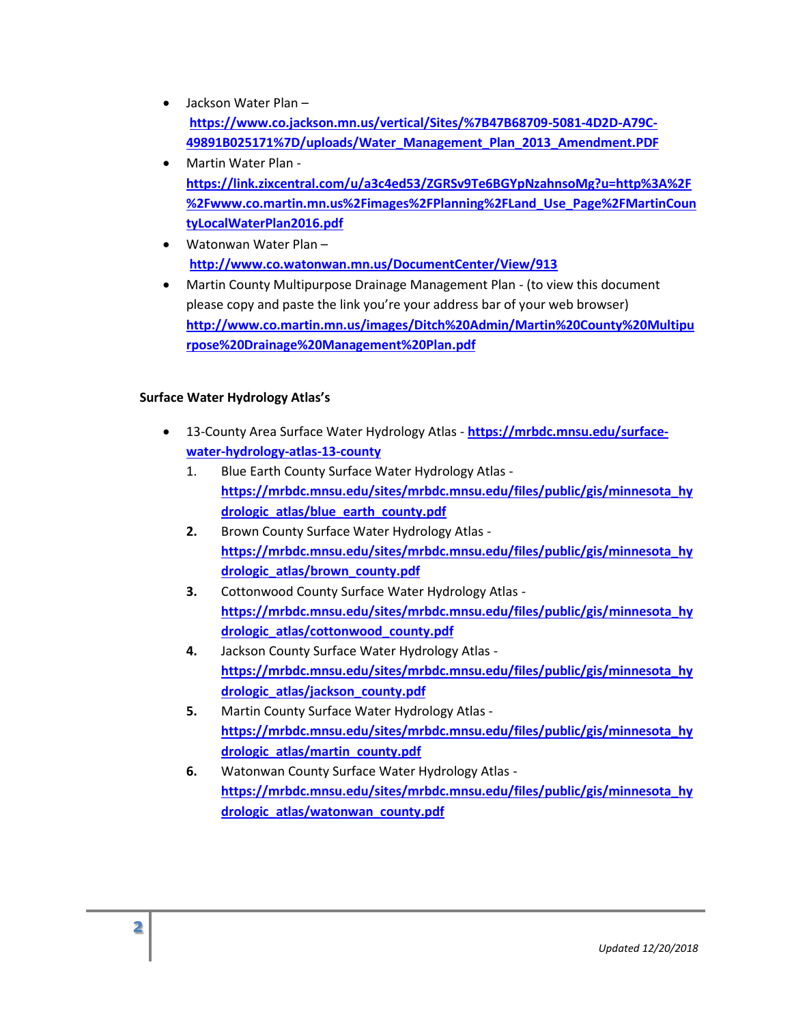- Jackson Water Plan **[https://www.co.jackson.mn.us/vertical/Sites/%7B47B68709-5081-4D2D-A79C-](https://www.co.jackson.mn.us/vertical/Sites/%7B47B68709-5081-4D2D-A79C-49891B025171%7D/uploads/Water_Management_Plan_2013_Amendment.PDF)[49891B025171%7D/uploads/Water\\_Management\\_Plan\\_2013\\_Amendment.PDF](https://www.co.jackson.mn.us/vertical/Sites/%7B47B68709-5081-4D2D-A79C-49891B025171%7D/uploads/Water_Management_Plan_2013_Amendment.PDF)**
- Martin Water Plan **[https://link.zixcentral.com/u/a3c4ed53/ZGRSv9Te6BGYpNzahnsoMg?u=http%3A%2F](https://link.zixcentral.com/u/a3c4ed53/ZGRSv9Te6BGYpNzahnsoMg?u=http%3A%2F%2Fwww.co.martin.mn.us%2Fimages%2FPlanning%2FLand_Use_Page%2FMartinCountyLocalWaterPlan2016.pdf) [%2Fwww.co.martin.mn.us%2Fimages%2FPlanning%2FLand\\_Use\\_Page%2FMartinCoun](https://link.zixcentral.com/u/a3c4ed53/ZGRSv9Te6BGYpNzahnsoMg?u=http%3A%2F%2Fwww.co.martin.mn.us%2Fimages%2FPlanning%2FLand_Use_Page%2FMartinCountyLocalWaterPlan2016.pdf) [tyLocalWaterPlan2016.pdf](https://link.zixcentral.com/u/a3c4ed53/ZGRSv9Te6BGYpNzahnsoMg?u=http%3A%2F%2Fwww.co.martin.mn.us%2Fimages%2FPlanning%2FLand_Use_Page%2FMartinCountyLocalWaterPlan2016.pdf)**
- Watonwan Water Plan **<http://www.co.watonwan.mn.us/DocumentCenter/View/913>**
- Martin County Multipurpose Drainage Management Plan (to view this document please copy and paste the link you're your address bar of your web browser) **[http://www.co.martin.mn.us/images/Ditch%20Admin/Martin%20County%20Multipu](http://www.co.martin.mn.us/images/Ditch%20Admin/Martin%20County%20Multipurpose%20Drainage%20Management%20Plan.pdf) [rpose%20Drainage%20Management%20Plan.pdf](http://www.co.martin.mn.us/images/Ditch%20Admin/Martin%20County%20Multipurpose%20Drainage%20Management%20Plan.pdf)**

## **Surface Water Hydrology Atlas's**

- 13-County Area Surface Water Hydrology Atlas **[https://mrbdc.mnsu.edu/surface](https://mrbdc.mnsu.edu/surface-water-hydrology-atlas-13-county)[water-hydrology-atlas-13-county](https://mrbdc.mnsu.edu/surface-water-hydrology-atlas-13-county)**
	- 1. Blue Earth County Surface Water Hydrology Atlas **[https://mrbdc.mnsu.edu/sites/mrbdc.mnsu.edu/files/public/gis/minnesota\\_hy](https://mrbdc.mnsu.edu/sites/mrbdc.mnsu.edu/files/public/gis/minnesota_hydrologic_atlas/blue_earth_county.pdf) [drologic\\_atlas/blue\\_earth\\_county.pdf](https://mrbdc.mnsu.edu/sites/mrbdc.mnsu.edu/files/public/gis/minnesota_hydrologic_atlas/blue_earth_county.pdf)**
	- **2.** Brown County Surface Water Hydrology Atlas **[https://mrbdc.mnsu.edu/sites/mrbdc.mnsu.edu/files/public/gis/minnesota\\_hy](https://mrbdc.mnsu.edu/sites/mrbdc.mnsu.edu/files/public/gis/minnesota_hydrologic_atlas/brown_county.pdf) [drologic\\_atlas/brown\\_county.pdf](https://mrbdc.mnsu.edu/sites/mrbdc.mnsu.edu/files/public/gis/minnesota_hydrologic_atlas/brown_county.pdf)**
	- **3.** Cottonwood County Surface Water Hydrology Atlas **[https://mrbdc.mnsu.edu/sites/mrbdc.mnsu.edu/files/public/gis/minnesota\\_hy](https://mrbdc.mnsu.edu/sites/mrbdc.mnsu.edu/files/public/gis/minnesota_hydrologic_atlas/cottonwood_county.pdf) [drologic\\_atlas/cottonwood\\_county.pdf](https://mrbdc.mnsu.edu/sites/mrbdc.mnsu.edu/files/public/gis/minnesota_hydrologic_atlas/cottonwood_county.pdf)**
	- **4.** Jackson County Surface Water Hydrology Atlas **[https://mrbdc.mnsu.edu/sites/mrbdc.mnsu.edu/files/public/gis/minnesota\\_hy](https://mrbdc.mnsu.edu/sites/mrbdc.mnsu.edu/files/public/gis/minnesota_hydrologic_atlas/jackson_county.pdf) [drologic\\_atlas/jackson\\_county.pdf](https://mrbdc.mnsu.edu/sites/mrbdc.mnsu.edu/files/public/gis/minnesota_hydrologic_atlas/jackson_county.pdf)**
	- **5.** Martin County Surface Water Hydrology Atlas **[https://mrbdc.mnsu.edu/sites/mrbdc.mnsu.edu/files/public/gis/minnesota\\_hy](https://mrbdc.mnsu.edu/sites/mrbdc.mnsu.edu/files/public/gis/minnesota_hydrologic_atlas/martin_county.pdf) [drologic\\_atlas/martin\\_county.pdf](https://mrbdc.mnsu.edu/sites/mrbdc.mnsu.edu/files/public/gis/minnesota_hydrologic_atlas/martin_county.pdf)**
	- **6.** Watonwan County Surface Water Hydrology Atlas **[https://mrbdc.mnsu.edu/sites/mrbdc.mnsu.edu/files/public/gis/minnesota\\_hy](https://mrbdc.mnsu.edu/sites/mrbdc.mnsu.edu/files/public/gis/minnesota_hydrologic_atlas/watonwan_county.pdf) [drologic\\_atlas/watonwan\\_county.pdf](https://mrbdc.mnsu.edu/sites/mrbdc.mnsu.edu/files/public/gis/minnesota_hydrologic_atlas/watonwan_county.pdf)**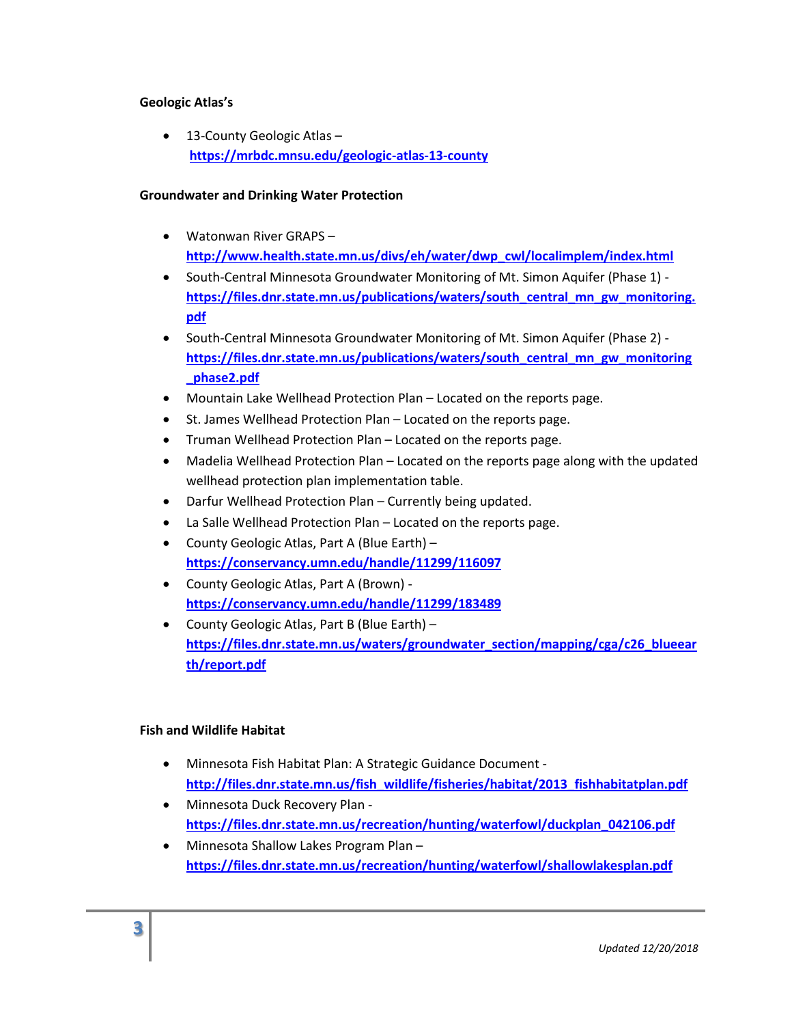### **Geologic Atlas's**

• 13-County Geologic Atlas – **<https://mrbdc.mnsu.edu/geologic-atlas-13-county>**

### **Groundwater and Drinking Water Protection**

- Watonwan River GRAPS **[http://www.health.state.mn.us/divs/eh/water/dwp\\_cwl/localimplem/index.html](http://www.health.state.mn.us/divs/eh/water/dwp_cwl/localimplem/index.html)**
- South-Central Minnesota Groundwater Monitoring of Mt. Simon Aquifer (Phase 1) **[https://files.dnr.state.mn.us/publications/waters/south\\_central\\_mn\\_gw\\_monitoring.](https://files.dnr.state.mn.us/publications/waters/south_central_mn_gw_monitoring.pdf) [pdf](https://files.dnr.state.mn.us/publications/waters/south_central_mn_gw_monitoring.pdf)**
- South-Central Minnesota Groundwater Monitoring of Mt. Simon Aquifer (Phase 2) **[https://files.dnr.state.mn.us/publications/waters/south\\_central\\_mn\\_gw\\_monitoring](https://files.dnr.state.mn.us/publications/waters/south_central_mn_gw_monitoring_phase2.pdf) [\\_phase2.pdf](https://files.dnr.state.mn.us/publications/waters/south_central_mn_gw_monitoring_phase2.pdf)**
- Mountain Lake Wellhead Protection Plan Located on the reports page.
- St. James Wellhead Protection Plan Located on the reports page.
- Truman Wellhead Protection Plan Located on the reports page.
- Madelia Wellhead Protection Plan Located on the reports page along with the updated wellhead protection plan implementation table.
- Darfur Wellhead Protection Plan Currently being updated.
- La Salle Wellhead Protection Plan Located on the reports page.
- County Geologic Atlas, Part A (Blue Earth) **<https://conservancy.umn.edu/handle/11299/116097>**
- County Geologic Atlas, Part A (Brown) **<https://conservancy.umn.edu/handle/11299/183489>**
- County Geologic Atlas, Part B (Blue Earth) **[https://files.dnr.state.mn.us/waters/groundwater\\_section/mapping/cga/c26\\_blueear](https://files.dnr.state.mn.us/waters/groundwater_section/mapping/cga/c26_blueearth/report.pdf) [th/report.pdf](https://files.dnr.state.mn.us/waters/groundwater_section/mapping/cga/c26_blueearth/report.pdf)**

### **Fish and Wildlife Habitat**

- Minnesota Fish Habitat Plan: A Strategic Guidance Document **[http://files.dnr.state.mn.us/fish\\_wildlife/fisheries/habitat/2013\\_fishhabitatplan.pdf](http://files.dnr.state.mn.us/fish_wildlife/fisheries/habitat/2013_fishhabitatplan.pdf)**
- Minnesota Duck Recovery Plan **[https://files.dnr.state.mn.us/recreation/hunting/waterfowl/duckplan\\_042106.pdf](https://files.dnr.state.mn.us/recreation/hunting/waterfowl/duckplan_042106.pdf)**
- Minnesota Shallow Lakes Program Plan **<https://files.dnr.state.mn.us/recreation/hunting/waterfowl/shallowlakesplan.pdf>**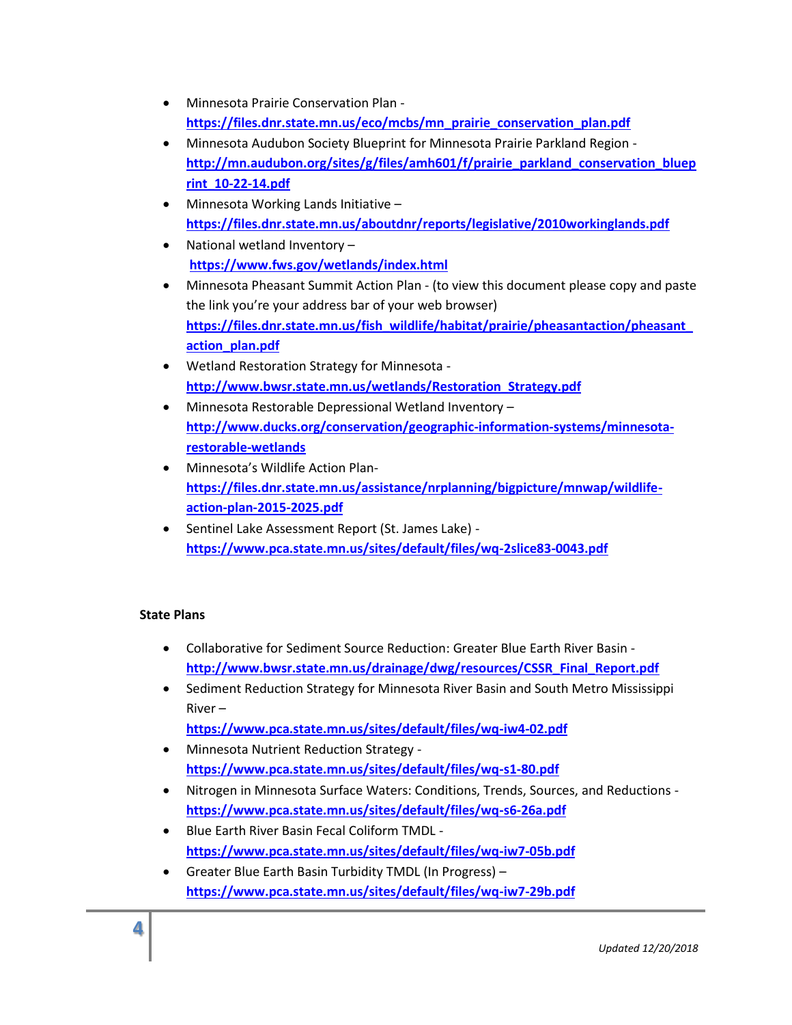- Minnesota Prairie Conservation Plan **[https://files.dnr.state.mn.us/eco/mcbs/mn\\_prairie\\_conservation\\_plan.pdf](https://files.dnr.state.mn.us/eco/mcbs/mn_prairie_conservation_plan.pdf)**
- Minnesota Audubon Society Blueprint for Minnesota Prairie Parkland Region **[http://mn.audubon.org/sites/g/files/amh601/f/prairie\\_parkland\\_conservation\\_bluep](http://mn.audubon.org/sites/g/files/amh601/f/prairie_parkland_conservation_blueprint_10-22-14.pdf) [rint\\_10-22-14.pdf](http://mn.audubon.org/sites/g/files/amh601/f/prairie_parkland_conservation_blueprint_10-22-14.pdf)**
- Minnesota Working Lands Initiative **<https://files.dnr.state.mn.us/aboutdnr/reports/legislative/2010workinglands.pdf>**
- National wetland Inventory **<https://www.fws.gov/wetlands/index.html>**
- Minnesota Pheasant Summit Action Plan (to view this document please copy and paste the link you're your address bar of your web browser) **[https://files.dnr.state.mn.us/fish\\_wildlife/habitat/prairie/pheasantaction/pheasant\\_](https://files.dnr.state.mn.us/fish_wildlife/habitat/prairie/pheasantaction/pheasant_action_plan.pdf) [action\\_plan.pdf](https://files.dnr.state.mn.us/fish_wildlife/habitat/prairie/pheasantaction/pheasant_action_plan.pdf)**
- Wetland Restoration Strategy for Minnesota **[http://www.bwsr.state.mn.us/wetlands/Restoration\\_Strategy.pdf](http://www.bwsr.state.mn.us/wetlands/Restoration_Strategy.pdf)**
- Minnesota Restorable Depressional Wetland Inventory **[http://www.ducks.org/conservation/geographic-information-systems/minnesota](http://www.ducks.org/conservation/geographic-information-systems/minnesota-restorable-wetlands)[restorable-wetlands](http://www.ducks.org/conservation/geographic-information-systems/minnesota-restorable-wetlands)**
- Minnesota's Wildlife Action Plan**[https://files.dnr.state.mn.us/assistance/nrplanning/bigpicture/mnwap/wildlife](https://files.dnr.state.mn.us/assistance/nrplanning/bigpicture/mnwap/wildlife-action-plan-2015-2025.pdf)[action-plan-2015-2025.pdf](https://files.dnr.state.mn.us/assistance/nrplanning/bigpicture/mnwap/wildlife-action-plan-2015-2025.pdf)**
- Sentinel Lake Assessment Report (St. James Lake) **<https://www.pca.state.mn.us/sites/default/files/wq-2slice83-0043.pdf>**

# **State Plans**

- Collaborative for Sediment Source Reduction: Greater Blue Earth River Basin **[http://www.bwsr.state.mn.us/drainage/dwg/resources/CSSR\\_Final\\_Report.pdf](http://www.bwsr.state.mn.us/drainage/dwg/resources/CSSR_Final_Report.pdf)**
- Sediment Reduction Strategy for Minnesota River Basin and South Metro Mississippi River –

**<https://www.pca.state.mn.us/sites/default/files/wq-iw4-02.pdf>**

- Minnesota Nutrient Reduction Strategy **<https://www.pca.state.mn.us/sites/default/files/wq-s1-80.pdf>**
- Nitrogen in Minnesota Surface Waters: Conditions, Trends, Sources, and Reductions **<https://www.pca.state.mn.us/sites/default/files/wq-s6-26a.pdf>**
- Blue Earth River Basin Fecal Coliform TMDL **<https://www.pca.state.mn.us/sites/default/files/wq-iw7-05b.pdf>**
- Greater Blue Earth Basin Turbidity TMDL (In Progress) **<https://www.pca.state.mn.us/sites/default/files/wq-iw7-29b.pdf>**